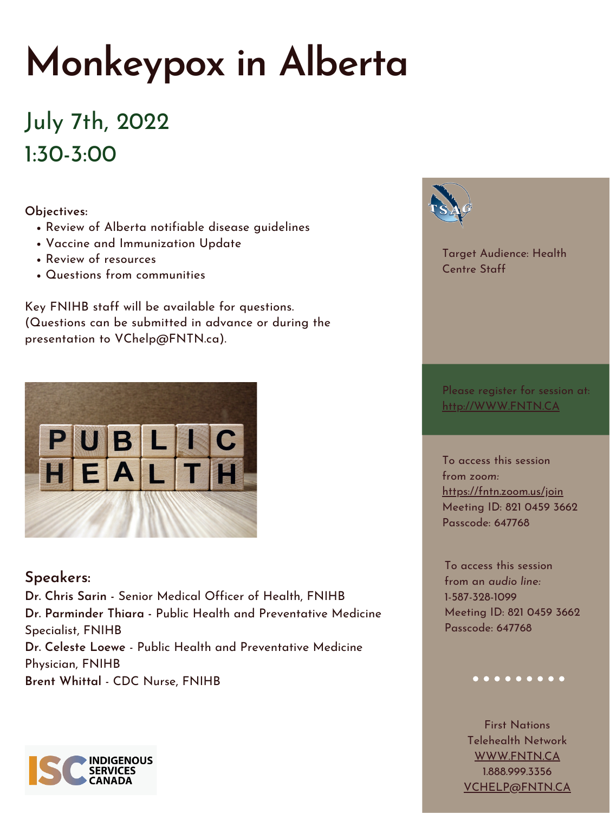## **Monkeypox in Alberta**

July 7th, 2022 1:30-3:00

**Speakers:**

**Dr. Chris Sarin -** Senior Medical Officer of Health, FNIHB **Dr. Parminder Thiara -** Public Health and Preventative Medicine Specialist, FNIHB **Dr. Celeste Loewe** - Public Health and Preventative Medicine Physician, FNIHB **Brent Whittal** - CDC Nurse, FNIHB



Please register for session at: [http://WWW.FNTN.CA](https://fntn.ca/Home/Register-VC?eid=19210)

Target Audience: Health Centre Staff

To access this session from *zoom:* [https://fntn.zoom.us/join](https://fntn.zoom.us/s/82104593662) Meeting ID: 821 0459 3662 Passcode: 647768

To access this session from an *audio line:* 1-587-328-1099 Meeting ID: 821 0459 3662 Passcode: 647768

## $0 0 0 0 0 0 0 0 0 0$

First Nations Telehealth Network [WWW.FNTN.CA](https://fntn.ca/) 1.888.999.3356 VCHELP@FNTN.CA

- Review of Alberta notifiable disease guidelines
- Vaccine and Immunization Update
- Review of resources
- Questions from communities

**Objectives:**

Key FNIHB staff will be available for questions. (Questions can be submitted in advance or during the presentation to VChelp@FNTN.ca).